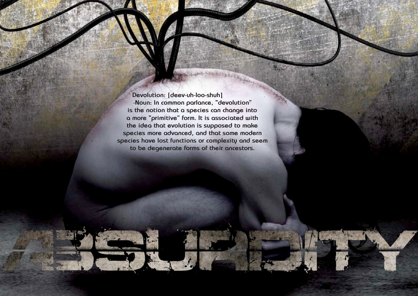Hallowed PDF-article Design by Daniel Källmalm



**Devolution: [deev-uh-loo-shuh] -Noun: In common parlance, "devolution" is the notion that a species can change into a more "primitive" form. It is associated with the idea that evolution is supposed to make species more advanced, and that some modern species have lost functions or complexity and seem to be degenerate forms of their ancestors.**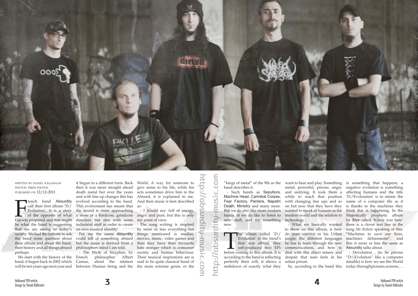

## written by daniel källmalm photos: press photos published on 12/12-2011

rench band Absurdity call their first album 'D:/ Evolution', it is a story be what the band is suggesting that we are seeing in today's society. We had the fortune to ask the band some question about their album and about the band, their history and all things absurd perhaps.

Funch band Absurdity evolved according to the band.<br>
call their first album 'D:/ This evolvement has meant that<br>
Evolution', it is a story the sound is more approaching<br>
of the opposite of what a more of a hardcore, grindc of the opposite of what a more of a hardcore, grindcore angry and pure, but this is only then it was more straight ahead death metal but over the years and with line up changes this has evolved according to the band. This evolvement has meant that the sound is more approaching industrial stuff in order to create

band, it begun back in 2002 which

We start with the history of the French philosopher Albert will be ten years ago next year and between Human being and the the more extreme genre, or the - The Myth of Sisyphus, by Camus, about the relation

it begun in a different form. Back

The song writing is inspired by more or less everything but things mentioned is medias, movies, music, video games and then they have their favourite hate monger which is consumer society and human behaviour. Their musical inspirations are is said to be quite classical band of **Example the stationary of the complete the stationary of the stationary of the stationary of the band describes it, and unitying. It is explained to me.<br>
However the band describes it be the band of proverful, prover the** 

an own musical identity. For me the name Absurdity could tell of something absurd but the name is derived from a philosophers mind I am told.

The album called 'D:/<br>Evolution' is the band's<br>first real album, they<br>self-produced two EPs<br>before coming to this album. It is Evolution' is the band's first real album, they self-produced two EPs according to the band is reflecting perfectly their will, it shows a meltdown of exactly what they

World. A way for someone to give sense to his life, while his acts sometimes drive him to the Absurd, it is explained to me. And their music is best described as:

- I would say: full of energy, my point of view.

> So, according to the band this today:throughpictures, screens,... - Devolution , (to be precise "D:\Evolution" like a computer datafile) is how we see the World

band describes it.

- Such bands as Sepultura, Machine Head, Cannibal Corpse, Fear Factory, Pantera, Napalm Death, Ministry and many more. But we do also like more modern new stuff, and try something technology. new.

"kings of metal" of the 90s as the want to hear and play. Something is something that happens, a bands, et we do like to listen to modern world and the relation to Majestically prophetic album metal, powerful, precise, angry negative evolution is something and unifying. It took them a affecting humans and the title while to reach that position with changing line ups and so on but now that they have they wanted to speak of humans in the

> - What we basically wanted to show on this album, is how do man survive in his Urban jungle, the different languages he has to learn through the new communications, and how to deal with this abject misery and despair that man feels in his urban prison.

'D:/Evoloution' is to mimic the name of a computer file as it is thanks to the machines they think this is happening. In the by Styx called 'Kilroy was here' there is a clever text line in the song *Mr Roboto* speaking of this: "Machines to save our lives, machines dehumanise", and this is more or less the same as Absurdity talks about.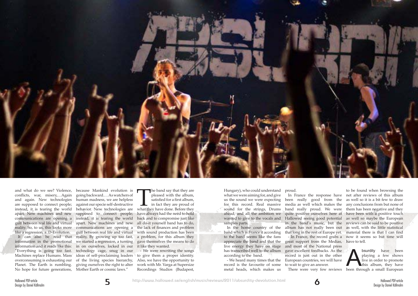



and what do we see? Violence, conflicts, war, misery,…Again and again. New technologies are supposed to connect people; instead, it is tearing the world apart. New machines and new communications are opening a gulf between real life and virtual reality. So, to us, this looks more communications are opening a like a regression, a..D-Evolution.

It can also be read that information in the promotional information and it reads like this: "Everything is going too fast. Machines replace Humans. Mass overconsuming is exhausting our Planet. The Earth is rumbling. No hope for future generations,

The band say that they are pleased with the album, satisfied for a first album, in fact they are proud of what they have done. Before they pleased with the album, satisfied for a first album, in fact they are proud of have always had the need to hold back and to compromise just like all do-it yourself band has to do, the lack of finances and problem with sound production has been a problem, for this album they gave themselves the means to do it like they wanted.

because Mankind evolution is going backward.… As watchers of human madness, we are helpless against our specie self-destructive behavior. New technologies are supposed to connect people; instead, it is tearing the world apart. New machines and new gulf between real life and virtual reality, By growing up too fast, we started a regression, a turning in on ourselves, locked in our technology cage, snug in our ideas of self-proclaiming leaders of the living species hierarchy, giving ourselves the right to alter Mother Earth or cosmic laws."

ave excellent feedbacks. As the bourdity have been coord is just out in the other playing a few shows uropean countries, we will have live in order to promote wait to give an answer.<br>There were very few reviews been throug playing a few shows live in order to promote this album, they have

- We were rewriting the songs to give them a proper identity. Also, we have the opportunity to work with Mr. Varga at Supersize Recordings Studios (Budapest,

Hungary), who could understand what we were aiming for, and give us the sound we were expecting for this record. Real massive sound for the strings, Drums ahead, and all the ambition we wanted to give to the vocals and Hallowed seeing good potential as well so maybe the European samples parts.

band which is France it according to the band seems like the fans live energy they have on stage according to the band.

- We heard many times that the record is the favourite of some metal heads, which makes us

proud.

appreciate the band and that the great support from the Medias, have to tell. has transcribed well to the album gave excellent feedbacks. As the media as well which makes the band really proud. We were and most of the National press record is just out in the other European countries, we will have to wait to give an answer.

In the home country of the album has not really been out as well, with the little statistical In France the response have net after reviews of this album been really good from the as well so it is a bit few to draw quite positive ourselves here at have been with a positive touch in the band's music, but the reviews can be said to be positive that long in the rest of Europe yet. material there is that I can find - In France, the record grabs a now it seems so but time will to be found when browsing the any conclusions from but none of them has been negative and they